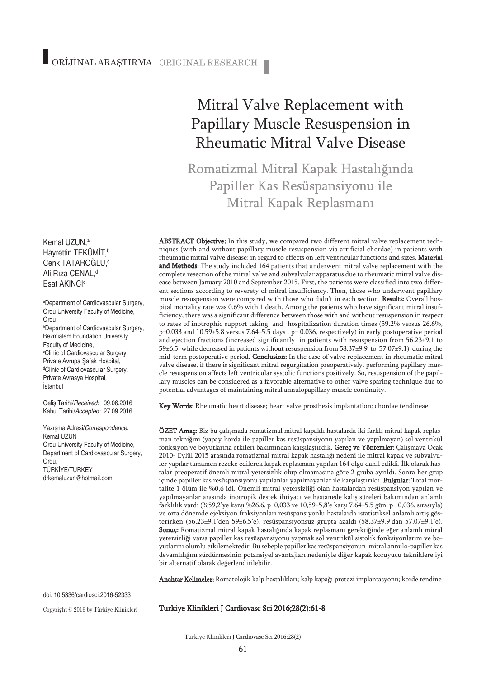### Kemal UZUN, a Hayrettin TEKÜMİT, b Cenk TATAROĞLU, c Ali Rıza CENAL, d Esat AKINCI<sup>d</sup>

a Department of Cardiovascular Surgery, Ordu University Faculty of Medicine, Ordu b Department of Cardiovascular Surgery, Bezmialem Foundation University Faculty of Medicine, c Clinic of Cardiovascular Surgery, Private Avrupa Şafak Hospital, d Clinic of Cardiovascular Surgery,

Private Avrasya Hospital, İstanbul

Geliş Tarihi/*Received:* 09.06.2016 Kabul Tarihi/*Accepted:* 27.09.2016

Yazışma Adresi/*Correspondence:* Kemal UZUN Ordu University Faculty of Medicine, Department of Cardiovascular Surgery, Ordu, TÜRKİYE/TURKEY drkemaluzun@hotmail.com

Mitral Valve Replacement with Papillary Muscle Resuspension in Rheumatic Mitral Valve Disease

Romatizmal Mitral Kapak Hastalığında Papiller Kas Resüspansiyonu ile Mitral Kapak Replasmanı

ABSTRACT Objective: In this study, we compared two different mitral valve replacement techniques (with and without papillary muscle resuspension via artificial chordae) in patients with rheumatic mitral valve disease; in regard to effects on left ventricular functions and sizes. Material and Methods: The study included 164 patients that underwent mitral valve replacement with the complete resection of the mitral valve and subvalvular apparatus due to rheumatic mitral valve disease between January 2010 and September 2015. First, the patients were classified into two different sections according to severety of mitral insufficiency. Then, those who underwent papillary muscle resuspension were compared with those who didn't in each section. Results: Overall hospital mortality rate was 0.6% with 1 death. Among the patients who have significant mitral insufficiency, there was a significant difference between those with and without resuspension in respect to rates of inotrophic support taking and hospitalization duration times (59.2% versus 26.6%,  $p=0.033$  and  $10.59±5.8$  versus  $7.64±5.5$  days ,  $p=0.036$ , respectively) in early postoperative period and ejection fractions (increased significantly in patients with resuspension from 56.23±9.1 to 59±6.5, while decreased in patients without resuspension from 58.37±9.9 to 57.07±9.1) during the mid-term postoperative period. Conclusion: In the case of valve replacement in rheumatic mitral valve disease, if there is significant mitral regurgitation preoperatively, performing papillary muscle resuspension affects left ventricular systolic functions positively. So, resuspension of the papillary muscles can be considered as a favorable alternative to other valve sparing technique due to potential advantages of maintaining mitral annulopapillary muscle continuity.

Key Words: Rheumatic heart disease; heart valve prosthesis implantation; chordae tendineae

ÖZET Amaç: Biz bu çalışmada romatizmal mitral kapaklı hastalarda iki farklı mitral kapak replasman tekniğini (yapay korda ile papiller kas resüspansiyonu yapılan ve yapılmayan) sol ventrikül fonksiyon ve boyutlarına etkileri bakımından karşılaştırdık. Gereç ve Yöntemler: Çalışmaya Ocak 2010- Eylül 2015 arasında romatizmal mitral kapak hastalığı nedeni ile mitral kapak ve subvalvuler yapılar tamamen rezeke edilerek kapak replasmanı yapılan 164 olgu dahil edildi. İlk olarak hastalar preoperatif önemli mitral yetersizlik olup olmamasına göre 2 gruba ayrıldı. Sonra her grup içinde papiller kas resüspansiyonu yapılanlar yapılmayanlar ile karşılaştırıldı. Bulgular: Total mortalite 1 ölüm ile %0,6 idi. Önemli mitral yetersizliği olan hastalardan resüspansiyon yapılan ve yapılmayanlar arasında inotropik destek ihtiyacı ve hastanede kalış süreleri bakımından anlamlı farklılık vardı (%59,2'ye karşı %26,6, p=0,033 ve 10,59±5,8'e karşı 7.64±5.5 gün, p= 0,036, sırasıyla) ve orta dönemde ejeksiyon fraksiyonları resüspansiyonlu hastalarda istatistiksel anlamlı artış gösterirken (56,23±9,1'den 59±6,5'e), resüspansiyonsuz grupta azaldı (58,37±9,9'dan 57,07±9,1'e). Sonuç: Romatizmal mitral kapak hastalığında kapak replasmanı gerektiğinde eğer anlamlı mitral yetersizliği varsa papiller kas resüspansiyonu yapmak sol ventrikül sistolik fonksiyonlarını ve boyutlarını olumlu etkilemektedir. Bu sebeple papiller kas resüspansiyonun mitral annulo-papiller kas devamlılığını sürdürmesinin potansiyel avantajları nedeniyle diğer kapak koruyucu tekniklere iyi bir alternatif olarak değerlendirilebilir.

Anahtar Kelimeler: Romatolojik kalp hastalıkları; kalp kapağı protezi implantasyonu; korde tendine

doi: 10.5336/cardiosci.2016-52333

Copyright © 2016 by Türkiye Klinikleri

#### Turkiye Klinikleri J Cardiovasc Sci 2016;28(2):61-8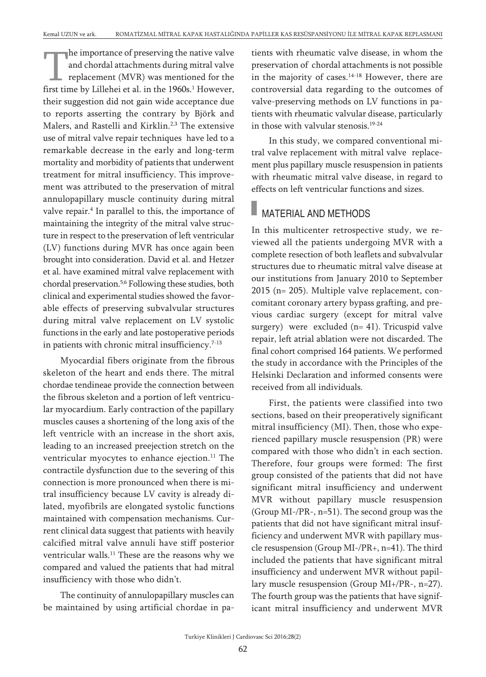he importance of preserving the native valve and chordal attachments during mitral valve replacement (MVR) was mentioned for the first time by Lillehei et al. in the 1960s. <sup>1</sup> However, their suggestion did not gain wide acceptance due to reports asserting the contrary by Björk and Malers, and Rastelli and Kirklin. 2,3 The extensive use of mitral valve repair techniques have led to a remarkable decrease in the early and long-term mortality and morbidity of patients that underwent treatment for mitral insufficiency. This improvement was attributed to the preservation of mitral annulopapillary muscle continuity during mitral valve repair. <sup>4</sup> In parallel to this, the importance of maintaining the integrity of the mitral valve structure in respect to the preservation of left ventricular (LV) functions during MVR has once again been brought into consideration. David et al. and Hetzer et al. have examined mitral valve replacement with chordal preservation. 5,6 Following these studies, both clinical and experimental studies showed the favorable effects of preserving subvalvular structures during mitral valve replacement on LV systolic functions in the early and late postoperative periods in patients with chronic mitral insufficiency. 7-13

Myocardial fibers originate from the fibrous skeleton of the heart and ends there. The mitral chordae tendineae provide the connection between the fibrous skeleton and a portion of left ventricular myocardium. Early contraction of the papillary muscles causes a shortening of the long axis of the left ventricle with an increase in the short axis, leading to an increased preejection stretch on the ventricular myocytes to enhance ejection. <sup>11</sup> The contractile dysfunction due to the severing of this connection is more pronounced when there is mitral insufficiency because LV cavity is already dilated, myofibrils are elongated systolic functions maintained with compensation mechanisms. Current clinical data suggest that patients with heavily calcified mitral valve annuli have stiff posterior ventricular walls. <sup>11</sup> These are the reasons why we compared and valued the patients that had mitral insufficiency with those who didn't.

The continuity of annulopapillary muscles can be maintained by using artificial chordae in patients with rheumatic valve disease, in whom the preservation of chordal attachments is not possible in the majority of cases.<sup>14-18</sup> However, there are controversial data regarding to the outcomes of valve-preserving methods on LV functions in patients with rheumatic valvular disease, particularly in those with valvular stenosis. 19-24

In this study, we compared conventional mitral valve replacement with mitral valve replacement plus papillary muscle resuspension in patients with rheumatic mitral valve disease, in regard to effects on left ventricular functions and sizes.

### MATERIAL AND METHODS

In this multicenter retrospective study, we reviewed all the patients undergoing MVR with a complete resection of both leaflets and subvalvular structures due to rheumatic mitral valve disease at our institutions from January 2010 to September 2015 (n= 205). Multiple valve replacement, concomitant coronary artery bypass grafting, and previous cardiac surgery (except for mitral valve surgery) were excluded (n= 41). Tricuspid valve repair, left atrial ablation were not discarded. The final cohort comprised 164 patients. We performed the study in accordance with the Principles of the Helsinki Declaration and informed consents were received from all individuals.

First, the patients were classified into two sections, based on their preoperatively significant mitral insufficiency (MI). Then, those who experienced papillary muscle resuspension (PR) were compared with those who didn't in each section. Therefore, four groups were formed: The first group consisted of the patients that did not have significant mitral insufficiency and underwent MVR without papillary muscle resuspension (Group MI-/PR-, n=51). The second group was the patients that did not have significant mitral insufficiency and underwent MVR with papillary muscle resuspension (Group MI-/PR+, n=41). The third included the patients that have significant mitral insufficiency and underwent MVR without papillary muscle resuspension (Group MI+/PR-, n=27). The fourth group was the patients that have significant mitral insufficiency and underwent MVR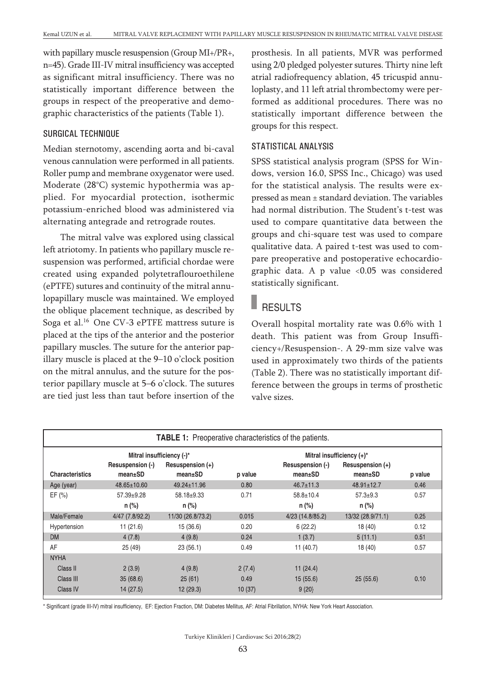with papillary muscle resuspension (Group MI+/PR+, n=45). Grade III-IV mitral insufficiency was accepted as significant mitral insufficiency. There was no statistically important difference between the groups in respect of the preoperative and demographic characteristics of the patients (Table 1).

#### SURGICAL TECHNIQUE

Median sternotomy, ascending aorta and bi-caval venous cannulation were performed in all patients. Roller pump and membrane oxygenator were used. Moderate (28°C) systemic hypothermia was applied. For myocardial protection, isothermic potassium-enriched blood was administered via alternating antegrade and retrograde routes.

The mitral valve was explored using classical left atriotomy. In patients who papillary muscle resuspension was performed, artificial chordae were created using expanded polytetraflouroethilene (ePTFE) sutures and continuity of the mitral annulopapillary muscle was maintained. We employed the oblique placement technique, as described by Soga et al. <sup>16</sup> One CV-3 ePTFE mattress suture is placed at the tips of the anterior and the posterior papillary muscles. The suture for the anterior papillary muscle is placed at the 9–10 o'clock position on the mitral annulus, and the suture for the posterior papillary muscle at 5–6 o'clock. The sutures are tied just less than taut before insertion of the prosthesis. In all patients, MVR was performed using 2/0 pledged polyester sutures. Thirty nine left atrial radiofrequency ablation, 45 tricuspid annuloplasty, and 11 left atrial thrombectomy were performed as additional procedures. There was no statistically important difference between the groups for this respect.

#### STATISTICAL ANALYSIS

SPSS statistical analysis program (SPSS for Windows, version 16.0, SPSS Inc., Chicago) was used for the statistical analysis. The results were expressed as mean ± standard deviation. The variables had normal distribution. The Student's t-test was used to compare quantitative data between the groups and chi-square test was used to compare qualitative data. A paired t-test was used to compare preoperative and postoperative echocardiographic data. A p value  $\leq 0.05$  was considered statistically significant.

### RESULTS

Overall hospital mortality rate was 0.6% with 1 death. This patient was from Group Insufficiency+/Resuspension-. A 29-mm size valve was used in approximately two thirds of the patients (Table 2). There was no statistically important difference between the groups in terms of prosthetic valve sizes.

| <b>TABLE 1:</b> Preoperative characteristics of the patients. |                                   |                                     |         |                                   |                                   |         |
|---------------------------------------------------------------|-----------------------------------|-------------------------------------|---------|-----------------------------------|-----------------------------------|---------|
| Mitral insufficiency (-)*                                     |                                   |                                     |         | Mitral insufficiency $(+)^*$      |                                   |         |
| <b>Characteristics</b>                                        | Resuspension (-)<br>$mean \pm SD$ | Resuspension $(+)$<br>$mean \pm SD$ | p value | Resuspension (-)<br>$mean \pm SD$ | Resuspension (+)<br>$mean \pm SD$ | p value |
| Age (year)                                                    | 48.65±10.60                       | 49.24±11.96                         | 0.80    | $46.7 \pm 11.3$                   | $48.91 \pm 12.7$                  | 0.46    |
| EF(%)                                                         | 57.39±9.28                        | 58.18±9.33                          | 0.71    | $58.8 \pm 10.4$                   | $57.3 + 9.3$                      | 0.57    |
|                                                               | $n$ (%)                           | $n$ (%)                             |         | n (%)                             | $n$ (%)                           |         |
| Male/Female                                                   | 4/47 (7.8/92.2)                   | 11/30 (26.8/73.2)                   | 0.015   | 4/23 (14.8/85.2)                  | 13/32 (28.9/71.1)                 | 0.25    |
| Hypertension                                                  | 11(21.6)                          | 15(36.6)                            | 0.20    | 6(22.2)                           | 18 (40)                           | 0.12    |
| <b>DM</b>                                                     | 4(7.8)                            | 4(9.8)                              | 0.24    | 1(3.7)                            | 5(11.1)                           | 0.51    |
| AF                                                            | 25(49)                            | 23(56.1)                            | 0.49    | 11(40.7)                          | 18 (40)                           | 0.57    |
| <b>NYHA</b>                                                   |                                   |                                     |         |                                   |                                   |         |
| Class II                                                      | 2(3.9)                            | 4(9.8)                              | 2(7.4)  | 11(24.4)                          |                                   |         |
| Class III                                                     | 35(68.6)                          | 25(61)                              | 0.49    | 15(55.6)                          | 25(55.6)                          | 0.10    |
| Class IV                                                      | 14(27.5)                          | 12(29.3)                            | 10(37)  | 9(20)                             |                                   |         |

\* Significant (grade III-IV) mitral insufficiency, EF: Ejection Fraction, DM: Diabetes Mellitus, AF: Atrial Fibrillation, NYHA: New York Heart Association.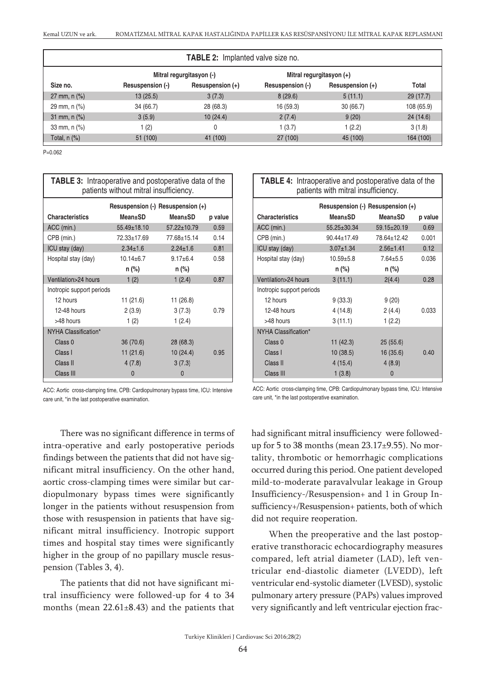| <b>TABLE 2:</b> Implanted valve size no. |                                                      |                  |                  |                  |            |
|------------------------------------------|------------------------------------------------------|------------------|------------------|------------------|------------|
|                                          | Mitral regurgitasyon (-)<br>Mitral regurgitasyon (+) |                  |                  |                  |            |
| Size no.                                 | Resuspension (-)                                     | Resuspension (+) | Resuspension (-) | Resuspension (+) | Total      |
| 27 mm, $n$ $%$                           | 13(25.5)                                             | 3(7.3)           | 8(29.6)          | 5(11.1)          | 29(17.7)   |
| 29 mm, $n$ $%$                           | 34 (66.7)                                            | 28 (68.3)        | 16 (59.3)        | 30(66.7)         | 108 (65.9) |
| 31 mm, $n$ $%$                           | 3(5.9)                                               | 10(24.4)         | 2(7.4)           | 9(20)            | 24(14.6)   |
| 33 mm, $n$ $%$                           | 1 (2)                                                | 0                | 1(3.7)           | 1(2.2)           | 3(1.8)     |
| Total, $n$ $(\%)$                        | 51 (100)                                             | 41 (100)         | 27 (100)         | 45 (100)         | 164 (100)  |

P=0.062

| <b>TABLE 3:</b> Intraoperative and postoperative data of the<br>patients without mitral insufficiency. |                           |                   |         |  |  |
|--------------------------------------------------------------------------------------------------------|---------------------------|-------------------|---------|--|--|
| Resuspension (-) Resuspension (+)                                                                      |                           |                   |         |  |  |
| <b>Characteristics</b>                                                                                 | Mean±SD                   | Mean±SD           | p value |  |  |
| ACC (min.)                                                                                             | 55.49±18.10               | $57.22 \pm 10.79$ | 0.59    |  |  |
| CPB (min.)                                                                                             | 72.33±17.69               | 77.68±15.14       | 0.14    |  |  |
| ICU stay (day)                                                                                         | $2.34 \pm 1.6$            | $2.24 + 1.6$      | 0.81    |  |  |
| Hospital stay (day)                                                                                    | $10.14 \pm 6.7$           | $9.17 + 6.4$      | 0.58    |  |  |
|                                                                                                        | n (%)                     | n (%)             |         |  |  |
| Ventilation>24 hours                                                                                   | 1(2)                      | 1(2.4)            | 0.87    |  |  |
|                                                                                                        | Inotropic support periods |                   |         |  |  |
| 12 hours                                                                                               | 11 (21.6)                 | 11(26.8)          |         |  |  |
| 12-48 hours                                                                                            | 2(3.9)                    | 3(7.3)            | 0.79    |  |  |
| >48 hours                                                                                              | 1(2)                      | 1(2.4)            |         |  |  |
| NYHA Classification*                                                                                   |                           |                   |         |  |  |
| Class 0                                                                                                | 36 (70.6)                 | 28 (68.3)         |         |  |  |
| Class I                                                                                                | 11(21.6)                  | 10(24.4)          | 0.95    |  |  |
| Class II                                                                                               | 4(7.8)                    | 3(7.3)            |         |  |  |
| Class III                                                                                              | 0                         | $\mathbf 0$       |         |  |  |

ACC: Aortic cross-clamping time, CPB: Cardiopulmonary bypass time, ICU: Intensive care unit, \*in the last postoperative examination.

There was no significant difference in terms of intra-operative and early postoperative periods findings between the patients that did not have significant mitral insufficiency. On the other hand, aortic cross-clamping times were similar but cardiopulmonary bypass times were significantly longer in the patients without resuspension from those with resuspension in patients that have significant mitral insufficiency. Inotropic support times and hospital stay times were significantly higher in the group of no papillary muscle resuspension (Tables 3, 4).

The patients that did not have significant mitral insufficiency were followed-up for 4 to 34 months (mean  $22.61\pm8.43$ ) and the patients that

| <b>TABLE 4:</b> Intraoperative and postoperative data of the<br>patients with mitral insufficiency. |               |                   |         |
|-----------------------------------------------------------------------------------------------------|---------------|-------------------|---------|
| Resuspension (-) Resuspension (+)                                                                   |               |                   |         |
| <b>Characteristics</b>                                                                              | Mean+SD       | Mean±SD           | p value |
| ACC (min.)                                                                                          | 55.25±30.34   | $59.15 \pm 20.19$ | 0.69    |
| CPB (min.)                                                                                          | 90.44±17.49   | 78.64±12.42       | 0.001   |
| ICU stay (day)                                                                                      | $3.07 + 1.34$ | $2.56 + 1.41$     | 0.12    |
| Hospital stay (day)                                                                                 | $10.59 + 5.8$ | $7.64 \pm 5.5$    | 0.036   |
|                                                                                                     | $n (\%)$      | n (%)             |         |
| Ventilation>24 hours                                                                                | 3(11.1)       | 2(4.4)            | 0.28    |
| Inotropic support periods                                                                           |               |                   |         |
| 12 hours                                                                                            | 9(33.3)       | 9(20)             |         |
| 12-48 hours                                                                                         | 4(14.8)       | 2(4.4)            | 0.033   |
| >48 hours                                                                                           | 3(11.1)       | 1(2.2)            |         |
| NYHA Classification*                                                                                |               |                   |         |
| Class <sub>0</sub>                                                                                  | 11 (42.3)     | 25(55.6)          |         |
| Class I                                                                                             | 10(38.5)      | 16 (35.6)         | 0.40    |
| Class II                                                                                            | 4(15.4)       | 4(8.9)            |         |
| Class III                                                                                           | 1(3.8)        | 0                 |         |
|                                                                                                     |               |                   |         |

ACC: Aortic cross-clamping time, CPB: Cardiopulmonary bypass time, ICU: Intensive care unit, \*in the last postoperative examination.

had significant mitral insufficiency were followedup for 5 to 38 months (mean 23.17±9.55). No mortality, thrombotic or hemorrhagic complications occurred during this period. One patient developed mild-to-moderate paravalvular leakage in Group Insufficiency-/Resuspension+ and 1 in Group Insufficiency+/Resuspension+ patients, both of which did not require reoperation.

When the preoperative and the last postoperative transthoracic echocardiography measures compared, left atrial diameter (LAD), left ventricular end-diastolic diameter (LVEDD), left ventricular end-systolic diameter (LVESD), systolic pulmonary artery pressure (PAPs) values improved very significantly and left ventricular ejection frac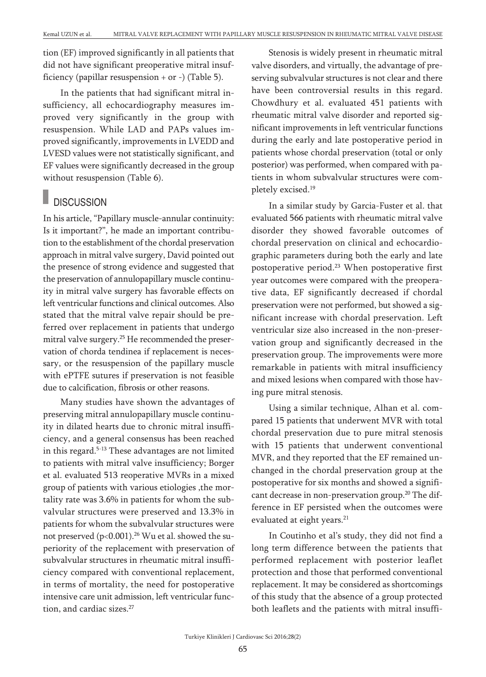tion (EF) improved significantly in all patients that did not have significant preoperative mitral insufficiency (papillar resuspension  $+$  or  $-$ ) (Table 5).

In the patients that had significant mitral insufficiency, all echocardiography measures improved very significantly in the group with resuspension. While LAD and PAPs values improved significantly, improvements in LVEDD and LVESD values were not statistically significant, and EF values were significantly decreased in the group without resuspension (Table 6).

## **DISCUSSION**

In his article, "Papillary muscle-annular continuity: Is it important?", he made an important contribution to the establishment of the chordal preservation approach in mitral valve surgery, David pointed out the presence of strong evidence and suggested that the preservation of annulopapillary muscle continuity in mitral valve surgery has favorable effects on left ventricular functions and clinical outcomes. Also stated that the mitral valve repair should be preferred over replacement in patients that undergo mitral valve surgery. <sup>25</sup> He recommended the preservation of chorda tendinea if replacement is necessary, or the resuspension of the papillary muscle with ePTFE sutures if preservation is not feasible due to calcification, fibrosis or other reasons.

Many studies have shown the advantages of preserving mitral annulopapillary muscle continuity in dilated hearts due to chronic mitral insufficiency, and a general consensus has been reached in this regard. 5-13 These advantages are not limited to patients with mitral valve insufficiency; Borger et al. evaluated 513 reoperative MVRs in a mixed group of patients with various etiologies ,the mortality rate was 3.6% in patients for whom the subvalvular structures were preserved and 13.3% in patients for whom the subvalvular structures were not preserved (p<0.001). <sup>26</sup> Wu et al. showed the superiority of the replacement with preservation of subvalvular structures in rheumatic mitral insufficiency compared with conventional replacement, in terms of mortality, the need for postoperative intensive care unit admission, left ventricular function, and cardiac sizes. 27

Stenosis is widely present in rheumatic mitral valve disorders, and virtually, the advantage of preserving subvalvular structures is not clear and there have been controversial results in this regard. Chowdhury et al. evaluated 451 patients with rheumatic mitral valve disorder and reported significant improvements in left ventricular functions during the early and late postoperative period in patients whose chordal preservation (total or only posterior) was performed, when compared with patients in whom subvalvular structures were completely excised. 19

In a similar study by Garcia-Fuster et al. that evaluated 566 patients with rheumatic mitral valve disorder they showed favorable outcomes of chordal preservation on clinical and echocardiographic parameters during both the early and late postoperative period. <sup>23</sup> When postoperative first year outcomes were compared with the preoperative data, EF significantly decreased if chordal preservation were not performed, but showed a significant increase with chordal preservation. Left ventricular size also increased in the non-preservation group and significantly decreased in the preservation group. The improvements were more remarkable in patients with mitral insufficiency and mixed lesions when compared with those having pure mitral stenosis.

Using a similar technique, Alhan et al. compared 15 patients that underwent MVR with total chordal preservation due to pure mitral stenosis with 15 patients that underwent conventional MVR, and they reported that the EF remained unchanged in the chordal preservation group at the postoperative for six months and showed a significant decrease in non-preservation group. <sup>20</sup> The difference in EF persisted when the outcomes were evaluated at eight years. 21

In Coutinho et al's study, they did not find a long term difference between the patients that performed replacement with posterior leaflet protection and those that performed conventional replacement. It may be considered as shortcomings of this study that the absence of a group protected both leaflets and the patients with mitral insuffi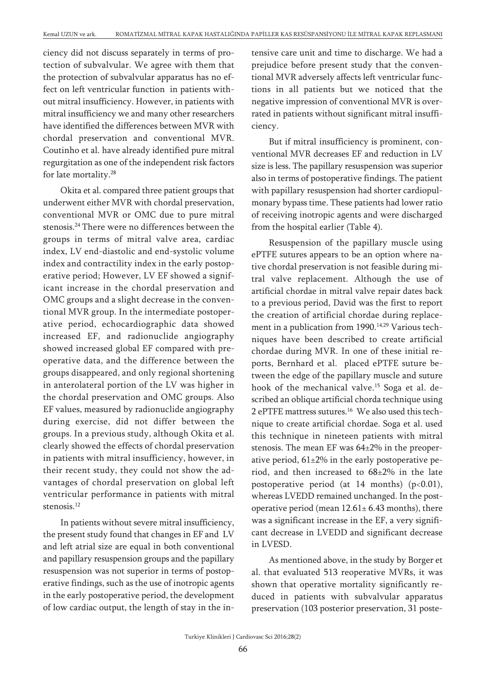ciency did not discuss separately in terms of protection of subvalvular. We agree with them that the protection of subvalvular apparatus has no effect on left ventricular function in patients without mitral insufficiency. However, in patients with mitral insufficiency we and many other researchers have identified the differences between MVR with chordal preservation and conventional MVR. Coutinho et al. have already identified pure mitral regurgitation as one of the independent risk factors for late mortality. 28

Okita et al. compared three patient groups that underwent either MVR with chordal preservation, conventional MVR or OMC due to pure mitral stenosis. <sup>24</sup> There were no differences between the groups in terms of mitral valve area, cardiac index, LV end-diastolic and end-systolic volume index and contractility index in the early postoperative period; However, LV EF showed a significant increase in the chordal preservation and OMC groups and a slight decrease in the conventional MVR group. In the intermediate postoperative period, echocardiographic data showed increased EF, and radionuclide angiography showed increased global EF compared with preoperative data, and the difference between the groups disappeared, and only regional shortening in anterolateral portion of the LV was higher in the chordal preservation and OMC groups. Also EF values, measured by radionuclide angiography during exercise, did not differ between the groups. In a previous study, although Okita et al. clearly showed the effects of chordal preservation in patients with mitral insufficiency, however, in their recent study, they could not show the advantages of chordal preservation on global left ventricular performance in patients with mitral stenosis. 12

In patients without severe mitral insufficiency, the present study found that changes in EF and LV and left atrial size are equal in both conventional and papillary resuspension groups and the papillary resuspension was not superior in terms of postoperative findings, such as the use of inotropic agents in the early postoperative period, the development of low cardiac output, the length of stay in the intensive care unit and time to discharge. We had a prejudice before present study that the conventional MVR adversely affects left ventricular functions in all patients but we noticed that the negative impression of conventional MVR is overrated in patients without significant mitral insufficiency.

But if mitral insufficiency is prominent, conventional MVR decreases EF and reduction in LV size is less. The papillary resuspension was superior also in terms of postoperative findings. The patient with papillary resuspension had shorter cardiopulmonary bypass time. These patients had lower ratio of receiving inotropic agents and were discharged from the hospital earlier (Table 4).

Resuspension of the papillary muscle using ePTFE sutures appears to be an option where native chordal preservation is not feasible during mitral valve replacement. Although the use of artificial chordae in mitral valve repair dates back to a previous period, David was the first to report the creation of artificial chordae during replacement in a publication from 1990.<sup>14,29</sup> Various techniques have been described to create artificial chordae during MVR. In one of these initial reports, Bernhard et al. placed ePTFE suture between the edge of the papillary muscle and suture hook of the mechanical valve. <sup>15</sup> Soga et al. described an oblique artificial chorda technique using 2 ePTFE mattress sutures. <sup>16</sup> We also used this technique to create artificial chordae. Soga et al. used this technique in nineteen patients with mitral stenosis. The mean EF was 64±2% in the preoperative period,  $61\pm2\%$  in the early postoperative period, and then increased to 68±2% in the late postoperative period (at  $14$  months) (p<0.01), whereas LVEDD remained unchanged. In the postoperative period (mean  $12.61 \pm 6.43$  months), there was a significant increase in the EF, a very significant decrease in LVEDD and significant decrease in LVESD.

As mentioned above, in the study by Borger et al. that evaluated 513 reoperative MVRs, it was shown that operative mortality significantly reduced in patients with subvalvular apparatus preservation (103 posterior preservation, 31 poste-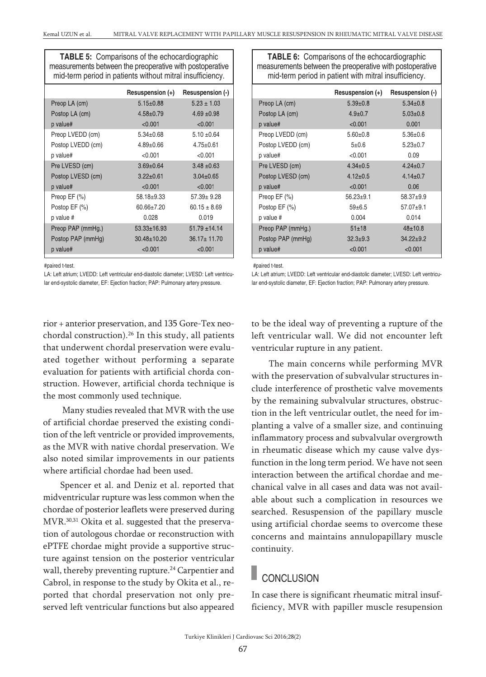**TABLE 5:** Comparisons of the echocardiographic measurements between the preoperative with postoperative mid-term period in patients without mitral insufficiency.

|                   | Resuspension (+)  | Resuspension (-) |
|-------------------|-------------------|------------------|
| Preop LA (cm)     | $5.15 \pm 0.88$   | $5.23 \pm 1.03$  |
| Postop LA (cm)    | $4.58 \pm 0.79$   | $4.69 + 0.98$    |
| p value#          | < 0.001           | < 0.001          |
| Preop LVEDD (cm)  | $5.34 \pm 0.68$   | $5.10 \pm 0.64$  |
| Postop LVEDD (cm) | $4.89 \pm 0.66$   | $4.75 \pm 0.61$  |
| p value#          | < 0.001           | < 0.001          |
| Pre LVESD (cm)    | $3.69 \pm 0.64$   | $3.48 + 0.63$    |
| Postop LVESD (cm) | $3.22 + 0.61$     | $3.04 + 0.65$    |
| p value#          | < 0.001           | < 0.001          |
| Preop EF (%)      | 58.18±9.33        | $57.39 \pm 9.28$ |
| Postop EF (%)     | $60.66 + 7.20$    | $60.15 \pm 8.69$ |
| p value #         | 0.028             | 0.019            |
| Preop PAP (mmHg.) | $53.33 \pm 16.93$ | $51.79 + 14.14$  |
| Postop PAP (mmHg) | $30.48 \pm 10.20$ | 36.17± 11.70     |
| p value#          | < 0.001           | < 0.001          |

#paired t-test.

LA: Left atrium; LVEDD: Left ventricular end-diastolic diameter; LVESD: Left ventricular end-systolic diameter, EF: Ejection fraction; PAP: Pulmonary artery pressure.

**TABLE 6:** Comparisons of the echocardiographic measurements between the preoperative with postoperative mid-term period in patient with mitral insufficiency.

|                    | Resuspension (+) | Resuspension (-) |
|--------------------|------------------|------------------|
| Preop LA (cm)      | $5.39 \pm 0.8$   | $5.34 \pm 0.8$   |
| Postop LA (cm)     | $4.9 + 0.7$      | $5.03 \pm 0.8$   |
| p value#           | < 0.001          | 0.001            |
| Preop LVEDD (cm)   | $5.60 \pm 0.8$   | $5.36 \pm 0.6$   |
| Postop LVEDD (cm)  | $5 + 0.6$        | $5.23 \pm 0.7$   |
| p value#           | < 0.001          | 0.09             |
| Pre LVESD (cm)     | $4.34 \pm 0.5$   | $4.24 \pm 0.7$   |
| Postop LVESD (cm)  | $4.12 \pm 0.5$   | $4.14 \pm 0.7$   |
| p value#           | < 0.001          | 0.06             |
| Preop $EF$ (%)     | $56.23 \pm 9.1$  | $58.37+9.9$      |
| Postop $EF$ $(\%)$ | $59 + 6.5$       | $57.07 \pm 9.1$  |
| p value #          | 0.004            | 0.014            |
| Preop PAP (mmHg.)  | $51 + 18$        | $48 + 10.8$      |
| Postop PAP (mmHg)  | $32.3 + 9.3$     | $34.22 \pm 9.2$  |
| p value#           | < 0.001          | < 0.001          |

#paired t-test.

LA: Left atrium; LVEDD: Left ventricular end-diastolic diameter; LVESD: Left ventricular end-systolic diameter, EF: Ejection fraction; PAP: Pulmonary artery pressure.

rior + anterior preservation, and 135 Gore-Tex neochordal construction). <sup>26</sup> In this study, all patients that underwent chordal preservation were evaluated together without performing a separate evaluation for patients with artificial chorda construction. However, artificial chorda technique is the most commonly used technique.

Many studies revealed that MVR with the use of artificial chordae preserved the existing condition of the left ventricle or provided improvements, as the MVR with native chordal preservation. We also noted similar improvements in our patients where artificial chordae had been used.

Spencer et al. and Deniz et al. reported that midventricular rupture was less common when the chordae of posterior leaflets were preserved during MVR. 30,31 Okita et al. suggested that the preservation of autologous chordae or reconstruction with ePTFE chordae might provide a supportive structure against tension on the posterior ventricular wall, thereby preventing rupture. <sup>24</sup> Carpentier and Cabrol, in response to the study by Okita et al., reported that chordal preservation not only preserved left ventricular functions but also appeared to be the ideal way of preventing a rupture of the left ventricular wall. We did not encounter left ventricular rupture in any patient.

The main concerns while performing MVR with the preservation of subvalvular structures include interference of prosthetic valve movements by the remaining subvalvular structures, obstruction in the left ventricular outlet, the need for implanting a valve of a smaller size, and continuing inflammatory process and subvalvular overgrowth in rheumatic disease which my cause valve dysfunction in the long term period. We have not seen interaction between the artifical chordae and mechanical valve in all cases and data was not available about such a complication in resources we searched. Resuspension of the papillary muscle using artificial chordae seems to overcome these concerns and maintains annulopapillary muscle continuity.

## **CONCLUSION**

In case there is significant rheumatic mitral insufficiency, MVR with papiller muscle resupension